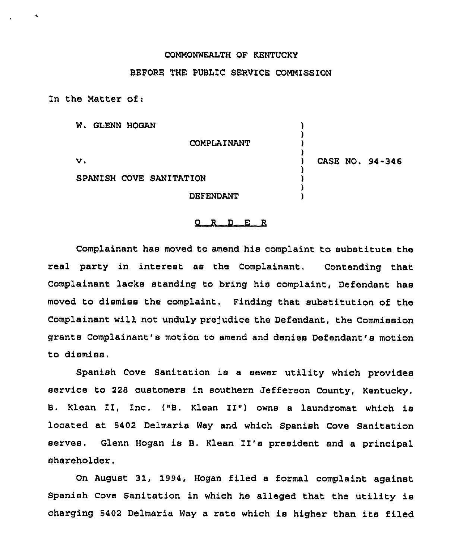## COMMONWEALTH OF KENTUCKY

## BEFORE THE PUBLIC SERVICE COMMISSION

In the Matter of:

W. GLENN HOGAN

COMPLAINANT

v.

) CASE NO. 94-346

) ) ) )

> ) ) ) )

SPANISH COVE SANITATION

DEFENDANT

## 0 <sup>R</sup> <sup>D</sup> E <sup>R</sup>

Complainant has moved to amend his complaint to substitute the real party in interest as the Complainant, Contending that Complainant lacks standing to bring his complaint, Defendant has moved to dismiss the complaint, Finding that substitution of the Complainant will not unduly prejudice the Defendant, the Commission grants Complainant's motion to amend and denies Defendant's motion to dismiss.

Spanish Cove Sanitation is a sewer utility which provides service to 228 customers in southern Jefferson County, Kentucky. B. Klean II, Inc. {"B. Klean II") owns <sup>a</sup> laundromat which is located at 5402 Delmaria Way and which Spanish Cove Sanitation serves. Glenn Hogan is B. Klean II's president and <sup>a</sup> principal shareholder.

On August 31, 1994, Hogan filed a formal complaint against Spanish Cove Sanitation in which he alleged that the utility is charging <sup>5402</sup> Delmaria Way <sup>a</sup> rate which is higher than its filed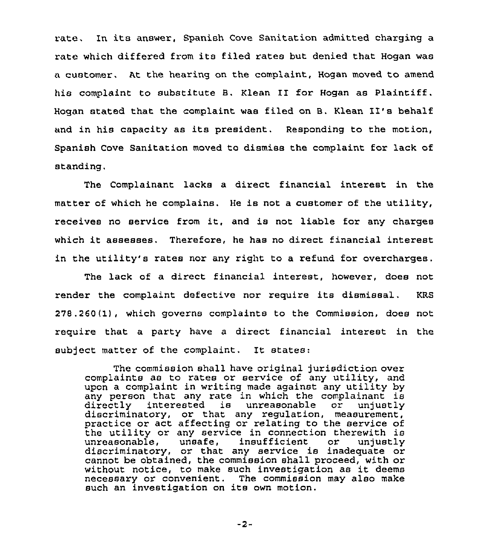rate. In its answer, Spanish Cove Sanitation admitted charging <sup>a</sup> rate which differed from its filed rates but denied that Hogan was a customer, At the hearing on the complaint, Hogan moved to amend his complaint to substitute B. Klean II for Hogan as Plaintiff. Hogan stated that the complaint was filed on B. Klean II's behalf and in his capacity as its president. Responding to the motion, Spanish Cove Sanitation moved to dismiss the complaint for lack of standing,

The Complainant lacks a direct financial interest in the matter of which he complains. He is not a customer of the utility, receives no service from it, and is not liable for any charges which it assesses. Therefore, he has no direct financial interest in the utility's rates nor any right to a refund for overcharges.

The lack of a direct financial interest, however, does not render the complaint defective nor require its dismissal. KRS 278.260(lj, which governs complaints to the Commission, does not require that a party have a direct financial interest in the subject matter of the complaint. It states:

The commission shall have original jurisdiction over complaints as to rates or service of any utility, and upon a complaint in writing made against any utility by any person that any rate in which the complainant is directly interested is unreasonable discriminatory, or that any regulation, measurement, practice or act affecting or relating to the service of the utility or any service in connection therewith is unreasonable, unsafe, insufficient or unjustly unreasonable, unsafe, insufficient or unjustl discriminatory, or that any service is inadequate or cannot be obtained, the commission shall proceed, with or without notice, to make such investigation as it deems necessary or convenient. The commission may also make such an investigation on its own motion.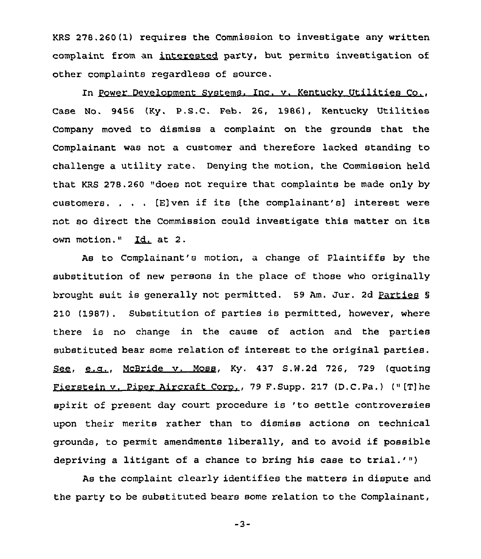KRS 278.260(1) requires the Commission to investigate any written complaint from an interested party, but permits investigation of other complaints regardless of source.

In Power Develooment Svstems. Inc. v. Kentuckv Utilities Co., Case No. 9456 (Ky. P.S.C. Feb. 26, 1986), Kentucky Utilities Company moved to dismiss a complaint on the grounds that the Complainant was not a customer and therefore lacked standing to challenge a utility rate. Denying the motion, the Commission held that KRS 278.260 "does not require that complaints be made only by customers. . . . [E]ven if its [the complainant's] interest were not so direct the Commission could investigate this matter on its own motion." Id. at 2.

As to Complainant's motion, a change of Plaintiffs by the substitution of new persons in the place of those who originally brought suit is generally not permitted. 59 Am. Jur. 2d Parties <sup>8</sup> 210 (1987). Substitution of parties is permitted, however, where there is no change in the cause of action and the parties substituted bear some relation of interest to the original parties. See, e.g., McBride v. Moss, Ky. 437 S.W.2d 726, 729 (quoting Fierstein v. Piner Aircraft Coro., 79 F.Supp. 217 (D.C.Pa.} (" [T]he spirit of present day court procedure is 'to settle controversies upon their merits rather than to dismiss actions on technical grounds, to permit amendments liberally, and to avoid if possible depriving <sup>a</sup> litigant of <sup>a</sup> chance to bring his case to trial.'")

As the complaint clearly identifies the matters in dispute and the party to be substituted bears some relation to the Complainant,

 $-3-$